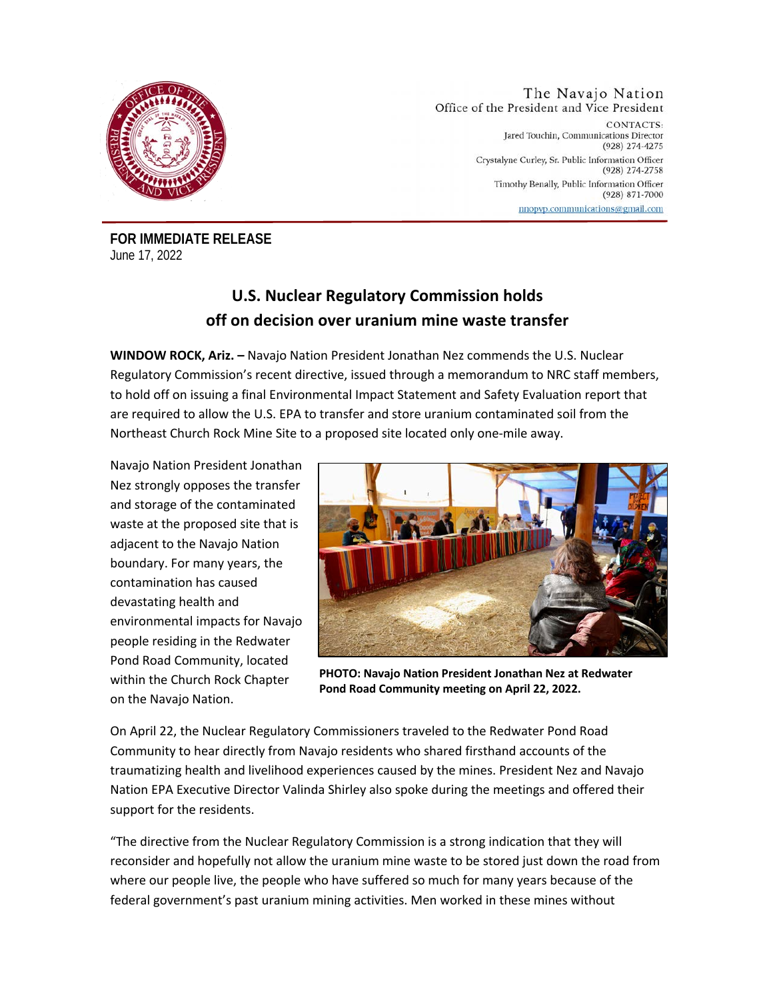

The Navajo Nation Office of the President and Vice President CONTACTS: Jared Touchin, Communications Director (928) 274-4275 Crystalyne Curley, Sr. Public Information Officer (928) 274-2758 Timothy Benally, Public Information Officer  $(928)$  871-7000 nnopvp.communications@gmail.com

**FOR IMMEDIATE RELEASE**  June 17, 2022

## **U.S. Nuclear Regulatory Commission holds off on decision over uranium mine waste transfer**

**WINDOW ROCK, Ariz. –** Navajo Nation President Jonathan Nez commends the U.S. Nuclear Regulatory Commission's recent directive, issued through a memorandum to NRC staff members, to hold off on issuing a final Environmental Impact Statement and Safety Evaluation report that are required to allow the U.S. EPA to transfer and store uranium contaminated soil from the Northeast Church Rock Mine Site to a proposed site located only one-mile away.

Navajo Nation President Jonathan Nez strongly opposes the transfer and storage of the contaminated waste at the proposed site that is adjacent to the Navajo Nation boundary. For many years, the contamination has caused devastating health and environmental impacts for Navajo people residing in the Redwater Pond Road Community, located within the Church Rock Chapter on the Navajo Nation.



**PHOTO: Navajo Nation President Jonathan Nez at Redwater Pond Road Community meeting on April 22, 2022.** 

On April 22, the Nuclear Regulatory Commissioners traveled to the Redwater Pond Road Community to hear directly from Navajo residents who shared firsthand accounts of the traumatizing health and livelihood experiences caused by the mines. President Nez and Navajo Nation EPA Executive Director Valinda Shirley also spoke during the meetings and offered their support for the residents.

"The directive from the Nuclear Regulatory Commission is a strong indication that they will reconsider and hopefully not allow the uranium mine waste to be stored just down the road from where our people live, the people who have suffered so much for many years because of the federal government's past uranium mining activities. Men worked in these mines without